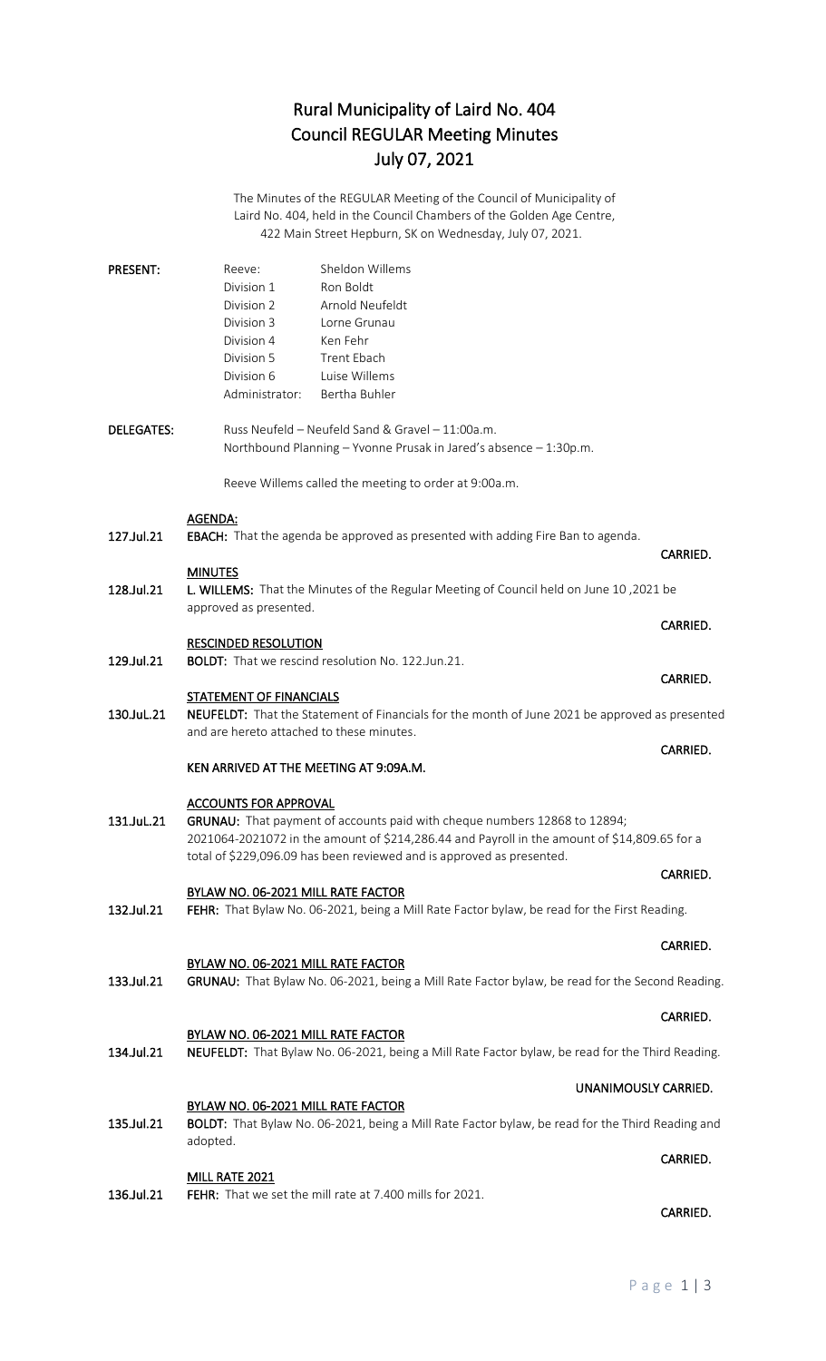# Rural Municipality of Laird No. 404 Council REGULAR Meeting Minutes July 07, 2021

The Minutes of the REGULAR Meeting of the Council of Municipality of Laird No. 404, held in the Council Chambers of the Golden Age Centre, 422 Main Street Hepburn, SK on Wednesday, July 07, 2021.

|                   | <b>PRESENT:</b>                                                                                                                 | Reeve:                                                                                         | Sheldon Willems                                                                        |          |  |
|-------------------|---------------------------------------------------------------------------------------------------------------------------------|------------------------------------------------------------------------------------------------|----------------------------------------------------------------------------------------|----------|--|
|                   |                                                                                                                                 | Division 1                                                                                     | Ron Boldt                                                                              |          |  |
|                   |                                                                                                                                 | Division 2                                                                                     | Arnold Neufeldt                                                                        |          |  |
|                   |                                                                                                                                 | Division 3                                                                                     | Lorne Grunau                                                                           |          |  |
|                   |                                                                                                                                 | Division 4                                                                                     | Ken Fehr                                                                               |          |  |
|                   |                                                                                                                                 | Division 5                                                                                     | Trent Ebach                                                                            |          |  |
|                   |                                                                                                                                 | Division 6                                                                                     | Luise Willems                                                                          |          |  |
|                   |                                                                                                                                 | Administrator:                                                                                 | Bertha Buhler                                                                          |          |  |
| <b>DELEGATES:</b> |                                                                                                                                 |                                                                                                | Russ Neufeld - Neufeld Sand & Gravel - 11:00a.m.                                       |          |  |
|                   | Northbound Planning - Yvonne Prusak in Jared's absence - 1:30p.m.                                                               |                                                                                                |                                                                                        |          |  |
|                   |                                                                                                                                 |                                                                                                | Reeve Willems called the meeting to order at 9:00a.m.                                  |          |  |
|                   |                                                                                                                                 | AGENDA:                                                                                        |                                                                                        |          |  |
|                   | 127.Jul.21                                                                                                                      |                                                                                                | <b>EBACH:</b> That the agenda be approved as presented with adding Fire Ban to agenda. |          |  |
|                   |                                                                                                                                 |                                                                                                |                                                                                        | CARRIED. |  |
|                   |                                                                                                                                 | <b>MINUTES</b>                                                                                 |                                                                                        |          |  |
|                   | 128.Jul.21<br>L. WILLEMS: That the Minutes of the Regular Meeting of Council held on June 10, 2021 be<br>approved as presented. |                                                                                                |                                                                                        |          |  |
|                   |                                                                                                                                 |                                                                                                |                                                                                        | CARRIED. |  |
|                   |                                                                                                                                 | <b>RESCINDED RESOLUTION</b>                                                                    |                                                                                        |          |  |
|                   | 129.Jul.21                                                                                                                      |                                                                                                | <b>BOLDT:</b> That we rescind resolution No. 122.Jun.21.                               |          |  |
|                   |                                                                                                                                 |                                                                                                |                                                                                        | CARRIED. |  |
|                   |                                                                                                                                 | <b>STATEMENT OF FINANCIALS</b>                                                                 |                                                                                        |          |  |
|                   | 130.JuL.21                                                                                                                      | NEUFELDT: That the Statement of Financials for the month of June 2021 be approved as presented |                                                                                        |          |  |
|                   |                                                                                                                                 | and are hereto attached to these minutes.                                                      |                                                                                        |          |  |
|                   |                                                                                                                                 |                                                                                                |                                                                                        | CARRIED. |  |
|                   |                                                                                                                                 | KEN ARRIVED AT THE MEETING AT 9:09A.M.                                                         |                                                                                        |          |  |
|                   |                                                                                                                                 |                                                                                                |                                                                                        |          |  |

#### ACCOUNTS FOR APPROVAL

- 131.JuL.21 GRUNAU: That payment of accounts paid with cheque numbers 12868 to 12894; 2021064-2021072 in the amount of \$214,286.44 and Payroll in the amount of \$14,809.65 for a total of \$229,096.09 has been reviewed and is approved as presented.
- BYLAW NO. 06-2021 MILL RATE FACTOR 132.Jul.21 FEHR: That Bylaw No. 06-2021, being a Mill Rate Factor bylaw, be read for the First Reading.

### BYLAW NO. 06-2021 MILL RATE FACTOR 133.Jul.21 GRUNAU: That Bylaw No. 06-2021, being a Mill Rate Factor bylaw, be read for the Second Reading.

## BYLAW NO. 06-2021 MILL RATE FACTOR 134.Jul.21 NEUFELDT: That Bylaw No. 06-2021, being a Mill Rate Factor bylaw, be read for the Third Reading.

#### BYLAW NO. 06-2021 MILL RATE FACTOR 135.Jul.21 BOLDT: That Bylaw No. 06-2021, being a Mill Rate Factor bylaw, be read for the Third Reading and adopted.

### MILL RATE 2021

136.Jul.21 FEHR: That we set the mill rate at 7.400 mills for 2021.

# CARRIED.

CARRIED.

CARRIED.

#### UNANIMOUSLY CARRIED.

## **CARRIED. CARRIED.**

## **CARRIED. CARRIED.**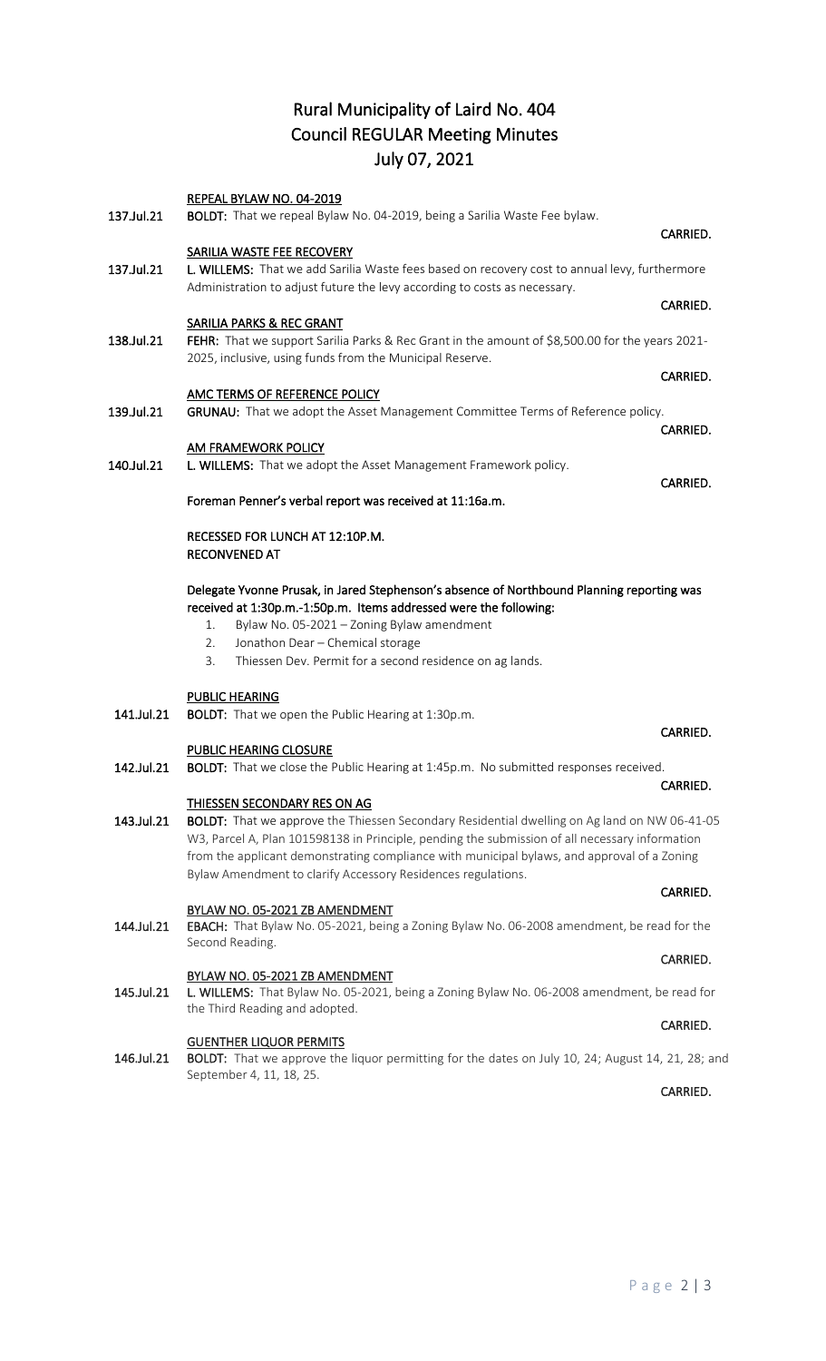## Rural Municipality of Laird No. 404 Council REGULAR Meeting Minutes July 07, 2021

|            | REPEAL BYLAW NO. 04-2019                                                                                                                                                                                                                                                                                                        |          |
|------------|---------------------------------------------------------------------------------------------------------------------------------------------------------------------------------------------------------------------------------------------------------------------------------------------------------------------------------|----------|
| 137.Jul.21 | BOLDT: That we repeal Bylaw No. 04-2019, being a Sarilia Waste Fee bylaw.                                                                                                                                                                                                                                                       |          |
|            | <b>SARILIA WASTE FEE RECOVERY</b>                                                                                                                                                                                                                                                                                               | CARRIED. |
| 137.Jul.21 | L. WILLEMS: That we add Sarilia Waste fees based on recovery cost to annual levy, furthermore                                                                                                                                                                                                                                   |          |
|            | Administration to adjust future the levy according to costs as necessary.                                                                                                                                                                                                                                                       |          |
|            |                                                                                                                                                                                                                                                                                                                                 | CARRIED. |
|            | SARILIA PARKS & REC GRANT                                                                                                                                                                                                                                                                                                       |          |
| 138.Jul.21 | FEHR: That we support Sarilia Parks & Rec Grant in the amount of \$8,500.00 for the years 2021-                                                                                                                                                                                                                                 |          |
|            | 2025, inclusive, using funds from the Municipal Reserve.                                                                                                                                                                                                                                                                        |          |
|            |                                                                                                                                                                                                                                                                                                                                 | CARRIED. |
|            | AMC TERMS OF REFERENCE POLICY                                                                                                                                                                                                                                                                                                   |          |
| 139.Jul.21 | GRUNAU: That we adopt the Asset Management Committee Terms of Reference policy.                                                                                                                                                                                                                                                 |          |
|            |                                                                                                                                                                                                                                                                                                                                 | CARRIED. |
| 140.Jul.21 | <b>AM FRAMEWORK POLICY</b><br>L. WILLEMS: That we adopt the Asset Management Framework policy.                                                                                                                                                                                                                                  |          |
|            |                                                                                                                                                                                                                                                                                                                                 | CARRIED. |
|            | Foreman Penner's verbal report was received at 11:16a.m.                                                                                                                                                                                                                                                                        |          |
|            |                                                                                                                                                                                                                                                                                                                                 |          |
|            | RECESSED FOR LUNCH AT 12:10P.M.                                                                                                                                                                                                                                                                                                 |          |
|            | <b>RECONVENED AT</b>                                                                                                                                                                                                                                                                                                            |          |
|            | Delegate Yvonne Prusak, in Jared Stephenson's absence of Northbound Planning reporting was<br>received at 1:30p.m.-1:50p.m. Items addressed were the following:<br>Bylaw No. 05-2021 - Zoning Bylaw amendment<br>1.<br>Jonathon Dear - Chemical storage<br>2.<br>Thiessen Dev. Permit for a second residence on ag lands.<br>3. |          |
|            | <b>PUBLIC HEARING</b>                                                                                                                                                                                                                                                                                                           |          |
| 141.Jul.21 | <b>BOLDT:</b> That we open the Public Hearing at 1:30p.m.                                                                                                                                                                                                                                                                       |          |
|            |                                                                                                                                                                                                                                                                                                                                 | CARRIED. |
|            | <b>PUBLIC HEARING CLOSURE</b>                                                                                                                                                                                                                                                                                                   |          |
| 142.Jul.21 | BOLDT: That we close the Public Hearing at 1:45p.m. No submitted responses received.                                                                                                                                                                                                                                            | CARRIED. |
|            | <b>THIESSEN SECONDARY RES ON AG</b>                                                                                                                                                                                                                                                                                             |          |
| 143.Jul.21 | <b>BOLDT:</b> That we approve the Thiessen Secondary Residential dwelling on Ag land on NW 06-41-05                                                                                                                                                                                                                             |          |
|            | W3, Parcel A, Plan 101598138 in Principle, pending the submission of all necessary information                                                                                                                                                                                                                                  |          |
|            | from the applicant demonstrating compliance with municipal bylaws, and approval of a Zoning                                                                                                                                                                                                                                     |          |
|            | Bylaw Amendment to clarify Accessory Residences regulations.                                                                                                                                                                                                                                                                    |          |
|            |                                                                                                                                                                                                                                                                                                                                 | CARRIED. |
|            | BYLAW NO. 05-2021 ZB AMENDMENT                                                                                                                                                                                                                                                                                                  |          |
| 144.Jul.21 | EBACH: That Bylaw No. 05-2021, being a Zoning Bylaw No. 06-2008 amendment, be read for the                                                                                                                                                                                                                                      |          |
|            | Second Reading.                                                                                                                                                                                                                                                                                                                 |          |
|            |                                                                                                                                                                                                                                                                                                                                 | CARRIED. |

## BYLAW NO. 05-2021 ZB AMENDMENT

145.Jul.21 L. WILLEMS: That Bylaw No. 05-2021, being a Zoning Bylaw No. 06-2008 amendment, be read for the Third Reading and adopted. **CARRIED.** The contract of the contract of the contract of the contract of the contract of the contract of the contract of the contract of the contract of the contract of the contract of the contract of the contract of the

#### GUENTHER LIQUOR PERMITS

146.Jul.21 BOLDT: That we approve the liquor permitting for the dates on July 10, 24; August 14, 21, 28; and September 4, 11, 18, 25.

**CARRIED. CARRIED.**